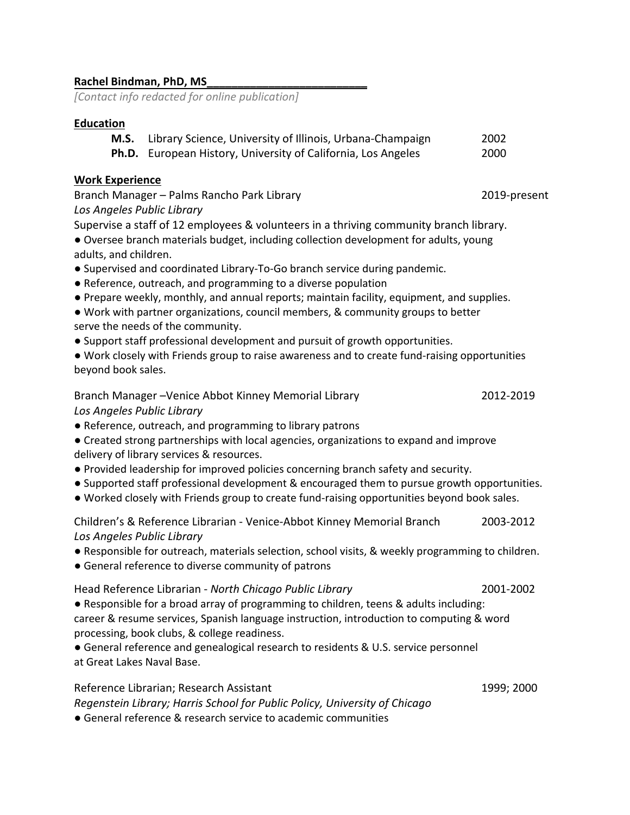### **Rachel Bindman, PhD, MS\_\_\_\_\_\_\_\_\_\_\_\_\_\_\_\_\_\_\_\_\_\_\_\_\_\_**

*[Contact info redacted for online publication]*

### **Education**

| <b>M.S.</b> Library Science, University of Illinois, Urbana-Champaign | 2002 |
|-----------------------------------------------------------------------|------|
| <b>Ph.D.</b> European History, University of California, Los Angeles  | 2000 |

#### **Work Experience**

Branch Manager – Palms Rancho Park Library 2019-present *Los Angeles Public Library*

Supervise a staff of 12 employees & volunteers in a thriving community branch library.

● Oversee branch materials budget, including collection development for adults, young adults, and children.

- Supervised and coordinated Library-To-Go branch service during pandemic.
- Reference, outreach, and programming to a diverse population
- Prepare weekly, monthly, and annual reports; maintain facility, equipment, and supplies.
- Work with partner organizations, council members, & community groups to better serve the needs of the community.
- Support staff professional development and pursuit of growth opportunities.
- Work closely with Friends group to raise awareness and to create fund-raising opportunities beyond book sales.

### Branch Manager –Venice Abbot Kinney Memorial Library 2012-2019 *Los Angeles Public Library*

● Reference, outreach, and programming to library patrons

● Created strong partnerships with local agencies, organizations to expand and improve delivery of library services & resources.

- Provided leadership for improved policies concerning branch safety and security.
- Supported staff professional development & encouraged them to pursue growth opportunities.
- Worked closely with Friends group to create fund-raising opportunities beyond book sales.

Children's & Reference Librarian - Venice-Abbot Kinney Memorial Branch 2003-2012 *Los Angeles Public Library*

- Responsible for outreach, materials selection, school visits, & weekly programming to children.
- General reference to diverse community of patrons

### Head Reference Librarian - *North Chicago Public Library* 2001-2002

● Responsible for a broad array of programming to children, teens & adults including: career & resume services, Spanish language instruction, introduction to computing & word processing, book clubs, & college readiness.

● General reference and genealogical research to residents & U.S. service personnel at Great Lakes Naval Base.

Reference Librarian; Research Assistant 1999; 2000

*Regenstein Library; Harris School for Public Policy, University of Chicago*

● General reference & research service to academic communities